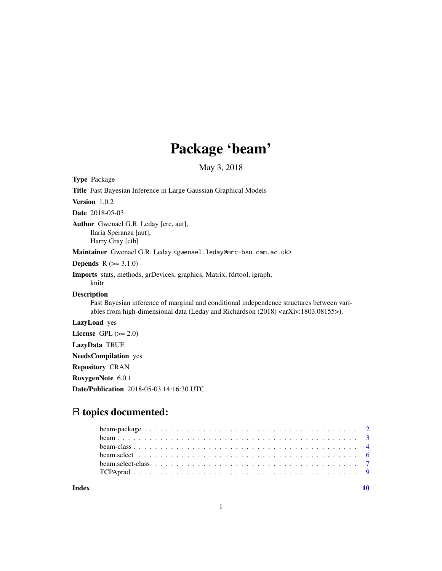## Package 'beam'

May 3, 2018

<span id="page-0-0"></span>Type Package Title Fast Bayesian Inference in Large Gaussian Graphical Models Version 1.0.2 Date 2018-05-03 Author Gwenael G.R. Leday [cre, aut], Ilaria Speranza [aut], Harry Gray [ctb] Maintainer Gwenael G.R. Leday <gwenael.leday@mrc-bsu.cam.ac.uk> **Depends**  $R (= 3.1.0)$ Imports stats, methods, grDevices, graphics, Matrix, fdrtool, igraph, knitr Description Fast Bayesian inference of marginal and conditional independence structures between variables from high-dimensional data (Leday and Richardson (2018) <arXiv:1803.08155>). LazyLoad yes License GPL  $(>= 2.0)$ LazyData TRUE NeedsCompilation yes Repository CRAN RoxygenNote 6.0.1

Date/Publication 2018-05-03 14:16:30 UTC

## R topics documented:

 $\blacksquare$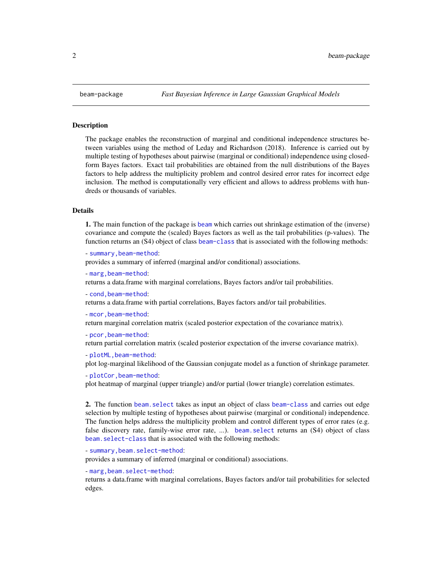#### **Description**

The package enables the reconstruction of marginal and conditional independence structures between variables using the method of Leday and Richardson (2018). Inference is carried out by multiple testing of hypotheses about pairwise (marginal or conditional) independence using closedform Bayes factors. Exact tail probabilities are obtained from the null distributions of the Bayes factors to help address the multiplicity problem and control desired error rates for incorrect edge inclusion. The method is computationally very efficient and allows to address problems with hundreds or thousands of variables.

## Details

1. The main function of the package is [beam](#page-2-1) which carries out shrinkage estimation of the (inverse) covariance and compute the (scaled) Bayes factors as well as the tail probabilities (p-values). The function returns an (S4) object of class [beam-class](#page-3-1) that is associated with the following methods:

- [summary,beam-method](#page-0-0):

provides a summary of inferred (marginal and/or conditional) associations.

- [marg,beam-method](#page-0-0):

returns a data.frame with marginal correlations, Bayes factors and/or tail probabilities.

- [cond,beam-method](#page-0-0):

returns a data.frame with partial correlations, Bayes factors and/or tail probabilities.

```
- mcor,beam-method:
```
return marginal correlation matrix (scaled posterior expectation of the covariance matrix).

```
- pcor,beam-method:
```
return partial correlation matrix (scaled posterior expectation of the inverse covariance matrix).

```
- plotML, beam-method:
```
plot log-marginal likelihood of the Gaussian conjugate model as a function of shrinkage parameter.

- [plotCor,beam-method](#page-0-0):

plot heatmap of marginal (upper triangle) and/or partial (lower triangle) correlation estimates.

2. The function [beam.select](#page-5-1) takes as input an object of class [beam-class](#page-3-1) and carries out edge selection by multiple testing of hypotheses about pairwise (marginal or conditional) independence. The function helps address the multiplicity problem and control different types of error rates (e.g. false discovery rate, family-wise error rate, ...). beam. select returns an (S4) object of class [beam.select-class](#page-6-1) that is associated with the following methods:

```
- summary,beam.select-method:
```
provides a summary of inferred (marginal or conditional) associations.

```
- marg,beam.select-method:
```
returns a data.frame with marginal correlations, Bayes factors and/or tail probabilities for selected edges.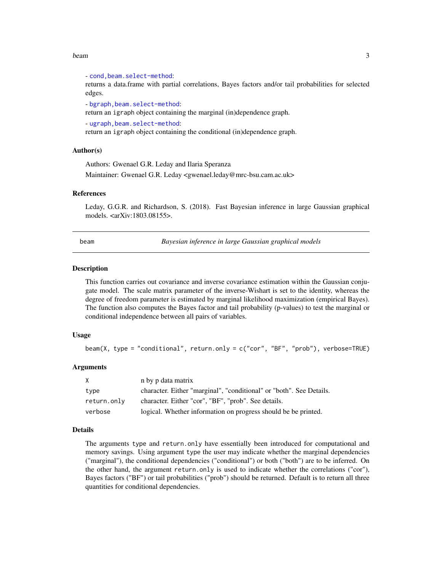#### <span id="page-2-0"></span>beam 3

- [cond,beam.select-method](#page-0-0): returns a data.frame with partial correlations, Bayes factors and/or tail probabilities for selected edges.

- [bgraph,beam.select-method](#page-0-0):

return an igraph object containing the marginal (in)dependence graph.

- [ugraph,beam.select-method](#page-0-0):

return an igraph object containing the conditional (in)dependence graph.

### Author(s)

Authors: Gwenael G.R. Leday and Ilaria Speranza

Maintainer: Gwenael G.R. Leday <gwenael.leday@mrc-bsu.cam.ac.uk>

#### References

Leday, G.G.R. and Richardson, S. (2018). Fast Bayesian inference in large Gaussian graphical models. <arXiv:1803.08155>.

<span id="page-2-1"></span>beam *Bayesian inference in large Gaussian graphical models*

#### **Description**

This function carries out covariance and inverse covariance estimation within the Gaussian conjugate model. The scale matrix parameter of the inverse-Wishart is set to the identity, whereas the degree of freedom parameter is estimated by marginal likelihood maximization (empirical Bayes). The function also computes the Bayes factor and tail probability (p-values) to test the marginal or conditional independence between all pairs of variables.

## Usage

beam(X, type = "conditional", return.only = c("cor", "BF", "prob"), verbose=TRUE)

#### Arguments

| X           | n by p data matrix                                                  |
|-------------|---------------------------------------------------------------------|
| type        | character. Either "marginal", "conditional" or "both". See Details. |
| return.only | character. Either "cor", "BF", "prob". See details.                 |
| verbose     | logical. Whether information on progress should be be printed.      |

#### Details

The arguments type and return.only have essentially been introduced for computational and memory savings. Using argument type the user may indicate whether the marginal dependencies ("marginal"), the conditional dependencies ("conditional") or both ("both") are to be inferred. On the other hand, the argument return.only is used to indicate whether the correlations ("cor"), Bayes factors ("BF") or tail probabilities ("prob") should be returned. Default is to return all three quantities for conditional dependencies.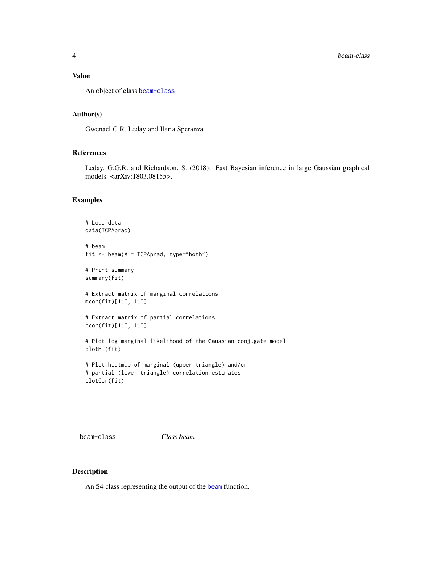### <span id="page-3-0"></span>Value

An object of class [beam-class](#page-3-1)

## Author(s)

Gwenael G.R. Leday and Ilaria Speranza

## References

Leday, G.G.R. and Richardson, S. (2018). Fast Bayesian inference in large Gaussian graphical models. <arXiv:1803.08155>.

### Examples

```
# Load data
data(TCPAprad)
# beam
fit \leq beam(X = TCPAprad, type="both")
# Print summary
summary(fit)
# Extract matrix of marginal correlations
mcor(fit)[1:5, 1:5]
# Extract matrix of partial correlations
pcor(fit)[1:5, 1:5]
# Plot log-marginal likelihood of the Gaussian conjugate model
plotML(fit)
# Plot heatmap of marginal (upper triangle) and/or
```

```
# partial (lower triangle) correlation estimates
plotCor(fit)
```
<span id="page-3-1"></span>beam-class *Class beam*

#### Description

An S4 class representing the output of the [beam](#page-2-1) function.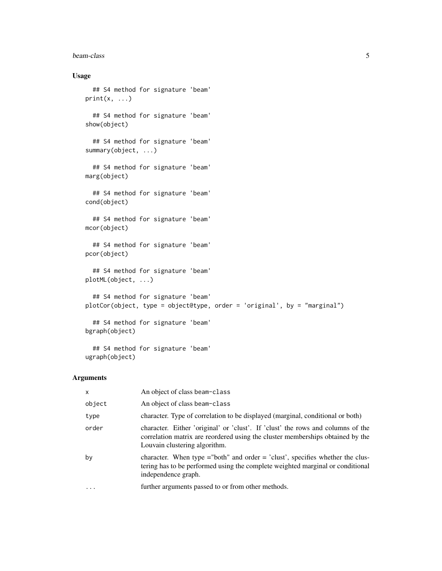#### beam-class 5

## Usage

```
## S4 method for signature 'beam'
print(x, \ldots)## S4 method for signature 'beam'
show(object)
  ## S4 method for signature 'beam'
summary(object, ...)
  ## S4 method for signature 'beam'
marg(object)
  ## S4 method for signature 'beam'
cond(object)
  ## S4 method for signature 'beam'
mcor(object)
  ## S4 method for signature 'beam'
pcor(object)
  ## S4 method for signature 'beam'
plotML(object, ...)
  ## S4 method for signature 'beam'
plotCor(object, type = object@type, order = 'original', by = "marginal")
  ## S4 method for signature 'beam'
bgraph(object)
  ## S4 method for signature 'beam'
```
## Arguments

ugraph(object)

| $\mathsf{x}$ | An object of class beam-class                                                                                                                                                                      |
|--------------|----------------------------------------------------------------------------------------------------------------------------------------------------------------------------------------------------|
| object       | An object of class beam-class                                                                                                                                                                      |
| type         | character. Type of correlation to be displayed (marginal, conditional or both)                                                                                                                     |
| order        | character. Either 'original' or 'clust'. If 'clust' the rows and columns of the<br>correlation matrix are reordered using the cluster memberships obtained by the<br>Louvain clustering algorithm. |
| by           | character. When type $=$ "both" and order $=$ 'clust', specifies whether the clus-<br>tering has to be performed using the complete weighted marginal or conditional<br>independence graph.        |
| $\cdot$      | further arguments passed to or from other methods.                                                                                                                                                 |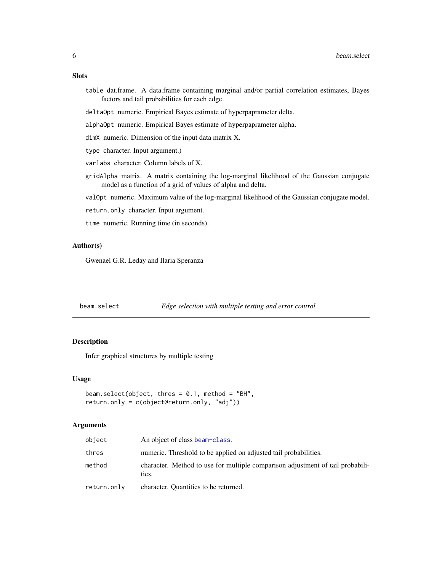### <span id="page-5-0"></span>Slots

- table dat.frame. A data.frame containing marginal and/or partial correlation estimates, Bayes factors and tail probabilities for each edge.
- deltaOpt numeric. Empirical Bayes estimate of hyperpaprameter delta.
- alphaOpt numeric. Empirical Bayes estimate of hyperpaprameter alpha.
- dimX numeric. Dimension of the input data matrix X.
- type character. Input argument.)
- varlabs character. Column labels of X.
- gridAlpha matrix. A matrix containing the log-marginal likelihood of the Gaussian conjugate model as a function of a grid of values of alpha and delta.
- valOpt numeric. Maximum value of the log-marginal likelihood of the Gaussian conjugate model.
- return.only character. Input argument.
- time numeric. Running time (in seconds).

## Author(s)

Gwenael G.R. Leday and Ilaria Speranza

<span id="page-5-1"></span>beam.select *Edge selection with multiple testing and error control*

## Description

Infer graphical structures by multiple testing

#### Usage

```
beam.select(object, thres = 0.1, method = "BH",
return.only = c(object@return.only, "adj"))
```
## Arguments

| object      | An object of class beam-class.                                                          |
|-------------|-----------------------------------------------------------------------------------------|
| thres       | numeric. Threshold to be applied on adjusted tail probabilities.                        |
| method      | character. Method to use for multiple comparison adjustment of tail probabili-<br>ties. |
| return.only | character. Quantities to be returned.                                                   |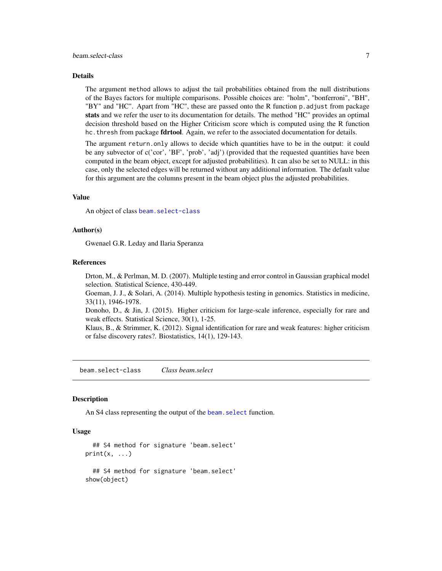### <span id="page-6-0"></span>Details

The argument method allows to adjust the tail probabilities obtained from the null distributions of the Bayes factors for multiple comparisons. Possible choices are: "holm", "bonferroni", "BH", "BY" and "HC". Apart from "HC", these are passed onto the R function p.adjust from package stats and we refer the user to its documentation for details. The method "HC" provides an optimal decision threshold based on the Higher Criticism score which is computed using the R function hc. thresh from package fdrtool. Again, we refer to the associated documentation for details.

The argument return.only allows to decide which quantities have to be in the output: it could be any subvector of c('cor', 'BF', 'prob', 'adj') (provided that the requested quantities have been computed in the beam object, except for adjusted probabilities). It can also be set to NULL: in this case, only the selected edges will be returned without any additional information. The default value for this argument are the columns present in the beam object plus the adjusted probabilities.

#### Value

An object of class [beam.select-class](#page-6-1)

## Author(s)

Gwenael G.R. Leday and Ilaria Speranza

#### References

Drton, M., & Perlman, M. D. (2007). Multiple testing and error control in Gaussian graphical model selection. Statistical Science, 430-449.

Goeman, J. J., & Solari, A. (2014). Multiple hypothesis testing in genomics. Statistics in medicine, 33(11), 1946-1978.

Donoho, D., & Jin, J. (2015). Higher criticism for large-scale inference, especially for rare and weak effects. Statistical Science, 30(1), 1-25.

Klaus, B., & Strimmer, K. (2012). Signal identification for rare and weak features: higher criticism or false discovery rates?. Biostatistics, 14(1), 129-143.

<span id="page-6-1"></span>beam.select-class *Class beam.select*

#### Description

An S4 class representing the output of the [beam.select](#page-5-1) function.

#### Usage

```
## S4 method for signature 'beam.select'
print(x, \ldots)## S4 method for signature 'beam.select'
show(object)
```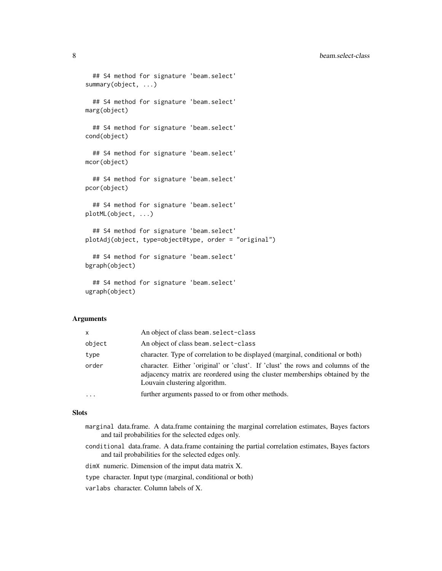```
## S4 method for signature 'beam.select'
summary(object, ...)
  ## S4 method for signature 'beam.select'
marg(object)
  ## S4 method for signature 'beam.select'
cond(object)
  ## S4 method for signature 'beam.select'
mcor(object)
  ## S4 method for signature 'beam.select'
pcor(object)
  ## S4 method for signature 'beam.select'
plotML(object, ...)
  ## S4 method for signature 'beam.select'
plotAdj(object, type=object@type, order = "original")
  ## S4 method for signature 'beam.select'
bgraph(object)
  ## S4 method for signature 'beam.select'
ugraph(object)
```
#### Arguments

| X        | An object of class beam. select-class                                                                                                                                                            |
|----------|--------------------------------------------------------------------------------------------------------------------------------------------------------------------------------------------------|
| object   | An object of class beam. select-class                                                                                                                                                            |
| type     | character. Type of correlation to be displayed (marginal, conditional or both)                                                                                                                   |
| order    | character. Either 'original' or 'clust'. If 'clust' the rows and columns of the<br>adjacency matrix are reordered using the cluster memberships obtained by the<br>Louvain clustering algorithm. |
| $\cdots$ | further arguments passed to or from other methods.                                                                                                                                               |

#### Slots

- marginal data.frame. A data.frame containing the marginal correlation estimates, Bayes factors and tail probabilities for the selected edges only.
- conditional data.frame. A data.frame containing the partial correlation estimates, Bayes factors and tail probabilities for the selected edges only.

dimX numeric. Dimension of the imput data matrix X.

type character. Input type (marginal, conditional or both)

varlabs character. Column labels of X.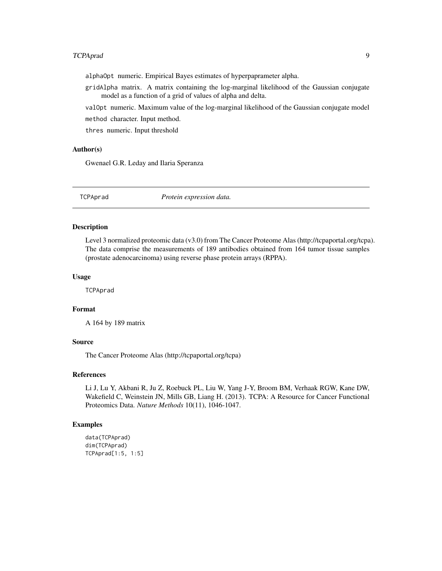## <span id="page-8-0"></span>TCPAprad 9

alphaOpt numeric. Empirical Bayes estimates of hyperpaprameter alpha.

gridAlpha matrix. A matrix containing the log-marginal likelihood of the Gaussian conjugate model as a function of a grid of values of alpha and delta.

valOpt numeric. Maximum value of the log-marginal likelihood of the Gaussian conjugate model method character. Input method.

thres numeric. Input threshold

## Author(s)

Gwenael G.R. Leday and Ilaria Speranza

TCPAprad *Protein expression data.*

#### **Description**

Level 3 normalized proteomic data (v3.0) from The Cancer Proteome Alas (http://tcpaportal.org/tcpa). The data comprise the measurements of 189 antibodies obtained from 164 tumor tissue samples (prostate adenocarcinoma) using reverse phase protein arrays (RPPA).

#### Usage

**TCPAprad** 

#### Format

A 164 by 189 matrix

#### Source

The Cancer Proteome Alas (http://tcpaportal.org/tcpa)

#### References

Li J, Lu Y, Akbani R, Ju Z, Roebuck PL, Liu W, Yang J-Y, Broom BM, Verhaak RGW, Kane DW, Wakefield C, Weinstein JN, Mills GB, Liang H. (2013). TCPA: A Resource for Cancer Functional Proteomics Data. *Nature Methods* 10(11), 1046-1047.

## Examples

```
data(TCPAprad)
dim(TCPAprad)
TCPAprad[1:5, 1:5]
```